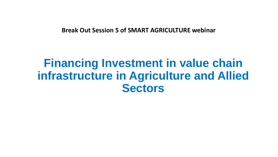**Break Out Session 5 of SMART AGRICULTURE webinar**

# **Financing Investment in value chain infrastructure in Agriculture and Allied Sectors**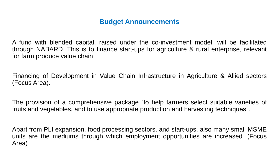### **Budget Announcements**

A fund with blended capital, raised under the co-investment model, will be facilitated through NABARD. This is to finance start-ups for agriculture & rural enterprise, relevant for farm produce value chain

Financing of Development in Value Chain Infrastructure in Agriculture & Allied sectors (Focus Area).

The provision of a comprehensive package "to help farmers select suitable varieties of fruits and vegetables, and to use appropriate production and harvesting techniques".

Apart from PLI expansion, food processing sectors, and start-ups, also many small MSME units are the mediums through which employment opportunities are increased. (Focus Area)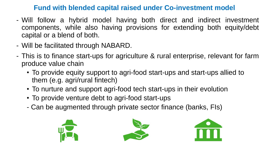#### **Fund with blended capital raised under Co-investment model**

- Will follow a hybrid model having both direct and indirect investment components, while also having provisions for extending both equity/debt capital or a blend of both.
- Will be facilitated through NABARD.
- This is to finance start-ups for agriculture & rural enterprise, relevant for farm produce value chain
	- To provide equity support to agri-food start-ups and start-ups allied to them (e.g. agri/rural fintech)
	- To nurture and support agri-food tech start-ups in their evolution
	- To provide venture debt to agri-food start-ups
	- Can be augmented through private sector finance (banks, FIs)





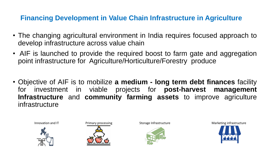## **Financing Development in Value Chain Infrastructure in Agriculture**

- The changing agricultural environment in India requires focused approach to develop infrastructure across value chain
- AIF is launched to provide the required boost to farm gate and aggregation point infrastructure for Agriculture/Horticulture/Forestry produce
- Objective of AIF is to mobilize **a medium - long term debt finances** facility for investment in viable projects for **post-harvest management Infrastructure** and **community farming assets** to improve agriculture infrastructure







Innovation and IT **Example 28 Telecom Primary processing Constructure** Storage Infrastructure Marketing infrastructure

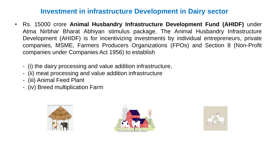#### **Investment in infrastructure Development in Dairy sector**

- Rs. 15000 crore **Animal Husbandry Infrastructure Development Fund (AHIDF)** under Atma Nirbhar Bharat Abhiyan stimulus package. The Animal Husbandry Infrastructure Development (AHIDF) is for incentivizing investments by individual entrepreneurs, private companies, MSME, Farmers Producers Organizations (FPOs) and Section 8 (Non-Profit companies under Companies Act 1956) to establish
	- (i) the dairy processing and value addition infrastructure,
	- (ii) meat processing and value addition infrastructure
	- (iii) Animal Feed Plant
	- (iv) Breed multiplication Farm





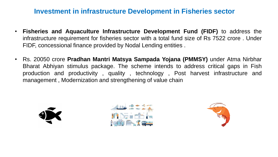#### **Investment in infrastructure Development in Fisheries sector**

- **Fisheries and Aquaculture Infrastructure Development Fund (FIDF)** to address the infrastructure requirement for fisheries sector with a total fund size of Rs 7522 crore . Under FIDF, concessional finance provided by Nodal Lending entities .
- Rs. 20050 crore **Pradhan Mantri Matsya Sampada Yojana (PMMSY)** under Atma Nirbhar Bharat Abhiyan stimulus package. The scheme intends to address critical gaps in Fish production and productivity , quality , technology , Post harvest infrastructure and management , Modernization and strengthening of value chain





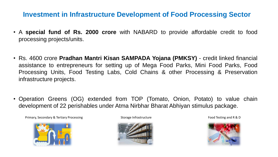#### **Investment in Infrastructure Development of Food Processing Sector**

- A **special fund of Rs. 2000 crore** with NABARD to provide affordable credit to food processing projects/units.
- Rs. 4600 crore **Pradhan Mantri Kisan SAMPADA Yojana (PMKSY)** credit linked financial assistance to entrepreneurs for setting up of Mega Food Parks, Mini Food Parks, Food Processing Units, Food Testing Labs, Cold Chains & other Processing & Preservation infrastructure projects.
- Operation Greens (OG) extended from TOP (Tomato, Onion, Potato) to value chain development of 22 perishables under Atma Nirbhar Bharat Abhiyan stimulus package.

Primary, Secondary & Tertiary Processing The Storage Infrastructure Food Testing and R & D





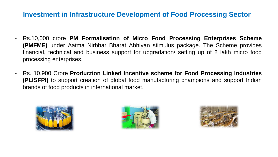#### **Investment in Infrastructure Development of Food Processing Sector**

- Rs.10,000 crore **PM Formalisation of Micro Food Processing Enterprises Scheme (PMFME)** under Aatma Nirbhar Bharat Abhiyan stimulus package. The Scheme provides financial, technical and business support for upgradation/ setting up of 2 lakh micro food processing enterprises.
- Rs. 10,900 Crore **Production Linked Incentive scheme for Food Processing Industries (PLISFPI)** to support creation of global food manufacturing champions and support Indian brands of food products in international market.





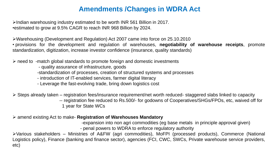# **Amendments /Changes in WDRA Act**

 $\blacktriangleright$ Indian warehousing industry estimated to be worth INR 561 Billion in 2017. •estimated to grow at 9.5% CAGR to reach INR 968 Billion by 2024.

Warehousing (Development and Regulation) Act 2007 came into force on 25.10.2010 • provisions for the development and regulation of warehouses, **negotiability of warehouse receipts**, promote standardization, digitization, increase investor confidence (insurance, quality standards)

 $\triangleright$  need to -match global standards to promote foreign and domestic investments

- quality assurance of infrastructure, goods
- -standardization of processes, creation of structured systems and processes
- introduction of IT-enabled services, farmer digital literacy
- Leverage the fast-evolving trade, bring down logistics cost

 $\triangleright$  Steps already taken – registration fees/insurance requirement/net worth reduced- staggered slabs linked to capacity

-- registration fee reduced to Rs.500/- for godowns of Cooperatives/SHGs/FPOs, etc, waived off for 1 year for State WCs

amend existing Act to make- **Registration of Warehouses Mandatory**

-expansion into non agri commodities (eg base metals in principle approval given)

- penal powers to WDRA to enforce regulatory authority

Various stakeholders – Ministries of A&FW (agri commodities), MoFPI (processed products), Commerce (National Logistics policy), Finance (banking and finance sector), agencies (FCI, CWC, SWCs, Private warehouse service providers, etc)